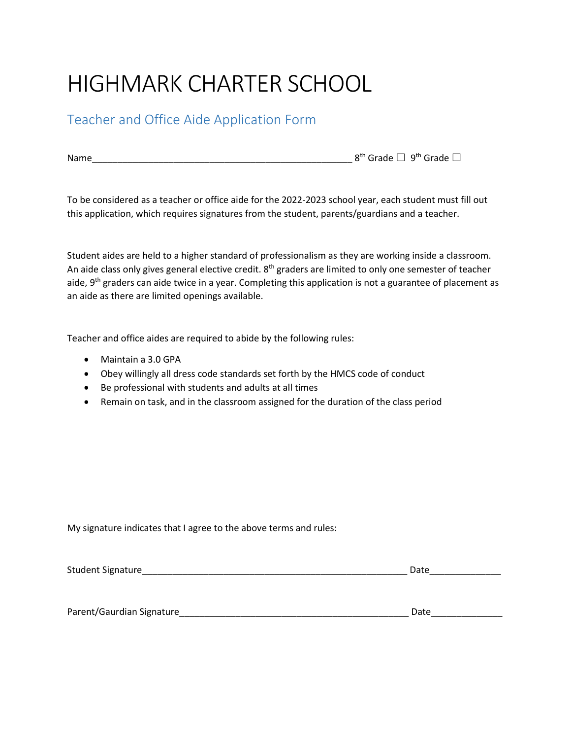## HIGHMARK CHARTER SCHOOL

## Teacher and Office Aide Application Form

Name\_\_\_\_\_\_\_\_\_\_\_\_\_\_\_\_\_\_\_\_\_\_\_\_\_\_\_\_\_\_\_\_\_\_\_\_\_\_\_\_\_\_\_\_\_\_\_\_\_\_\_ 8th Grade ☐ 9 th Grade ☐

To be considered as a teacher or office aide for the 2022-2023 school year, each student must fill out this application, which requires signatures from the student, parents/guardians and a teacher.

Student aides are held to a higher standard of professionalism as they are working inside a classroom. An aide class only gives general elective credit. 8<sup>th</sup> graders are limited to only one semester of teacher aide, 9<sup>th</sup> graders can aide twice in a year. Completing this application is not a guarantee of placement as an aide as there are limited openings available.

Teacher and office aides are required to abide by the following rules:

- Maintain a 3.0 GPA
- Obey willingly all dress code standards set forth by the HMCS code of conduct
- Be professional with students and adults at all times
- Remain on task, and in the classroom assigned for the duration of the class period

My signature indicates that I agree to the above terms and rules:

| <b>Student Signature</b>  | Date |  |  |  |  |
|---------------------------|------|--|--|--|--|
|                           |      |  |  |  |  |
|                           |      |  |  |  |  |
| Parent/Gaurdian Signature | Date |  |  |  |  |
|                           |      |  |  |  |  |